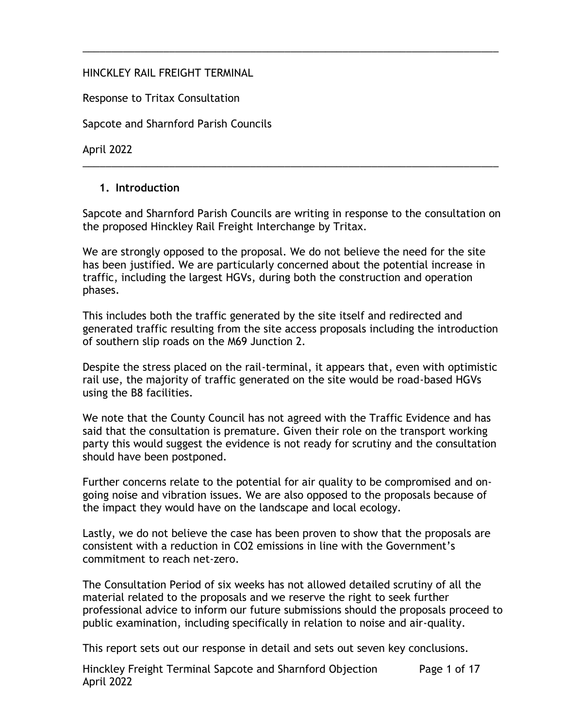#### HINCKLEY RAIL FREIGHT TERMINAL

Response to Tritax Consultation

Sapcote and Sharnford Parish Councils

April 2022

#### **1. Introduction**

Sapcote and Sharnford Parish Councils are writing in response to the consultation on the proposed Hinckley Rail Freight Interchange by Tritax.

\_\_\_\_\_\_\_\_\_\_\_\_\_\_\_\_\_\_\_\_\_\_\_\_\_\_\_\_\_\_\_\_\_\_\_\_\_\_\_\_\_\_\_\_\_\_\_\_\_\_\_\_\_\_\_\_\_\_\_\_\_\_\_\_\_\_\_\_\_\_\_\_

\_\_\_\_\_\_\_\_\_\_\_\_\_\_\_\_\_\_\_\_\_\_\_\_\_\_\_\_\_\_\_\_\_\_\_\_\_\_\_\_\_\_\_\_\_\_\_\_\_\_\_\_\_\_\_\_\_\_\_\_\_\_\_\_\_\_\_\_\_\_\_\_

We are strongly opposed to the proposal. We do not believe the need for the site has been justified. We are particularly concerned about the potential increase in traffic, including the largest HGVs, during both the construction and operation phases.

This includes both the traffic generated by the site itself and redirected and generated traffic resulting from the site access proposals including the introduction of southern slip roads on the M69 Junction 2.

Despite the stress placed on the rail-terminal, it appears that, even with optimistic rail use, the majority of traffic generated on the site would be road-based HGVs using the B8 facilities.

We note that the County Council has not agreed with the Traffic Evidence and has said that the consultation is premature. Given their role on the transport working party this would suggest the evidence is not ready for scrutiny and the consultation should have been postponed.

Further concerns relate to the potential for air quality to be compromised and ongoing noise and vibration issues. We are also opposed to the proposals because of the impact they would have on the landscape and local ecology.

Lastly, we do not believe the case has been proven to show that the proposals are consistent with a reduction in CO2 emissions in line with the Government's commitment to reach net-zero.

The Consultation Period of six weeks has not allowed detailed scrutiny of all the material related to the proposals and we reserve the right to seek further professional advice to inform our future submissions should the proposals proceed to public examination, including specifically in relation to noise and air-quality.

This report sets out our response in detail and sets out seven key conclusions.

Hinckley Freight Terminal Sapcote and Sharnford Objection April 2022 Page 1 of 17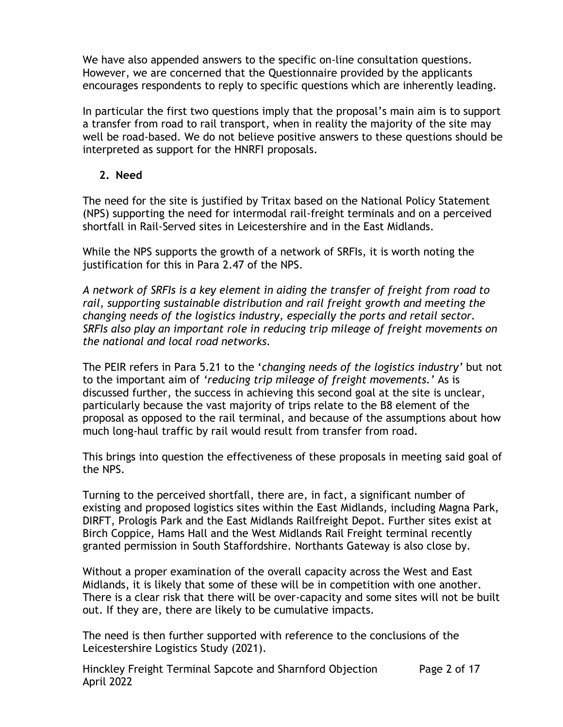We have also appended answers to the specific on-line consultation questions. However, we are concerned that the Questionnaire provided by the applicants encourages respondents to reply to specific questions which are inherently leading.

In particular the first two questions imply that the proposal's main aim is to support a transfer from road to rail transport, when in reality the majority of the site may well be road-based. We do not believe positive answers to these questions should be interpreted as support for the HNRFI proposals.

### **2. Need**

The need for the site is justified by Tritax based on the National Policy Statement (NPS) supporting the need for intermodal rail-freight terminals and on a perceived shortfall in Rail-Served sites in Leicestershire and in the East Midlands.

While the NPS supports the growth of a network of SRFIs, it is worth noting the justification for this in Para 2.47 of the NPS.

*A network of SRFIs is a key element in aiding the transfer of freight from road to rail, supporting sustainable distribution and rail freight growth and meeting the changing needs of the logistics industry, especially the ports and retail sector. SRFIs also play an important role in reducing trip mileage of freight movements on the national and local road networks.*

The PEIR refers in Para 5.21 to the '*changing needs of the logistics industry'* but not to the important aim of *'reducing trip mileage of freight movements.'* As is discussed further, the success in achieving this second goal at the site is unclear, particularly because the vast majority of trips relate to the B8 element of the proposal as opposed to the rail terminal, and because of the assumptions about how much long-haul traffic by rail would result from transfer from road.

This brings into question the effectiveness of these proposals in meeting said goal of the NPS.

Turning to the perceived shortfall, there are, in fact, a significant number of existing and proposed logistics sites within the East Midlands, including Magna Park, DIRFT, Prologis Park and the East Midlands Railfreight Depot. Further sites exist at Birch Coppice, Hams Hall and the West Midlands Rail Freight terminal recently granted permission in South Staffordshire. Northants Gateway is also close by.

Without a proper examination of the overall capacity across the West and East Midlands, it is likely that some of these will be in competition with one another. There is a clear risk that there will be over-capacity and some sites will not be built out. If they are, there are likely to be cumulative impacts.

The need is then further supported with reference to the conclusions of the Leicestershire Logistics Study (2021).

Hinckley Freight Terminal Sapcote and Sharnford Objection April 2022 Page 2 of 17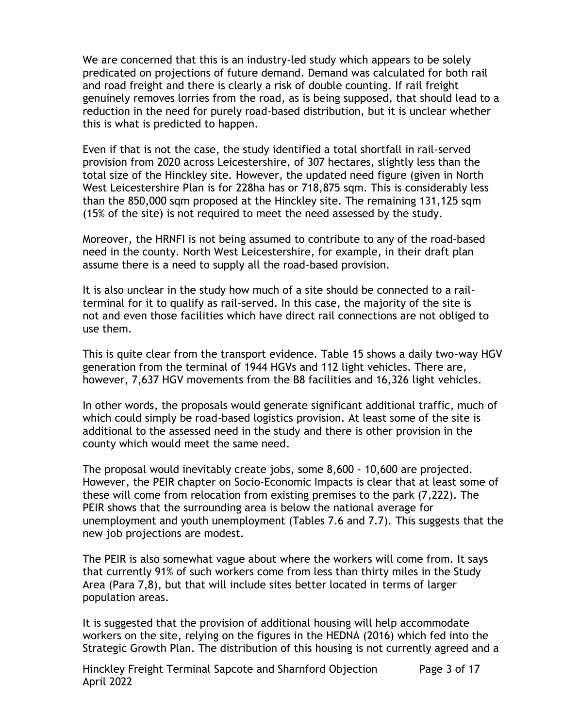We are concerned that this is an industry-led study which appears to be solely predicated on projections of future demand. Demand was calculated for both rail and road freight and there is clearly a risk of double counting. If rail freight genuinely removes lorries from the road, as is being supposed, that should lead to a reduction in the need for purely road-based distribution, but it is unclear whether this is what is predicted to happen.

Even if that is not the case, the study identified a total shortfall in rail-served provision from 2020 across Leicestershire, of 307 hectares, slightly less than the total size of the Hinckley site. However, the updated need figure (given in North West Leicestershire Plan is for 228ha has or 718,875 sqm. This is considerably less than the 850,000 sqm proposed at the Hinckley site. The remaining 131,125 sqm (15% of the site) is not required to meet the need assessed by the study.

Moreover, the HRNFI is not being assumed to contribute to any of the road-based need in the county. North West Leicestershire, for example, in their draft plan assume there is a need to supply all the road-based provision.

It is also unclear in the study how much of a site should be connected to a railterminal for it to qualify as rail-served. In this case, the majority of the site is not and even those facilities which have direct rail connections are not obliged to use them.

This is quite clear from the transport evidence. Table 15 shows a daily two-way HGV generation from the terminal of 1944 HGVs and 112 light vehicles. There are, however, 7,637 HGV movements from the B8 facilities and 16,326 light vehicles.

In other words, the proposals would generate significant additional traffic, much of which could simply be road-based logistics provision. At least some of the site is additional to the assessed need in the study and there is other provision in the county which would meet the same need.

The proposal would inevitably create jobs, some 8,600 - 10,600 are projected. However, the PEIR chapter on Socio-Economic Impacts is clear that at least some of these will come from relocation from existing premises to the park (7,222). The PEIR shows that the surrounding area is below the national average for unemployment and youth unemployment (Tables 7.6 and 7.7). This suggests that the new job projections are modest.

The PEIR is also somewhat vague about where the workers will come from. It says that currently 91% of such workers come from less than thirty miles in the Study Area (Para 7,8), but that will include sites better located in terms of larger population areas.

It is suggested that the provision of additional housing will help accommodate workers on the site, relying on the figures in the HEDNA (2016) which fed into the Strategic Growth Plan. The distribution of this housing is not currently agreed and a

Hinckley Freight Terminal Sapcote and Sharnford Objection April 2022 Page 3 of 17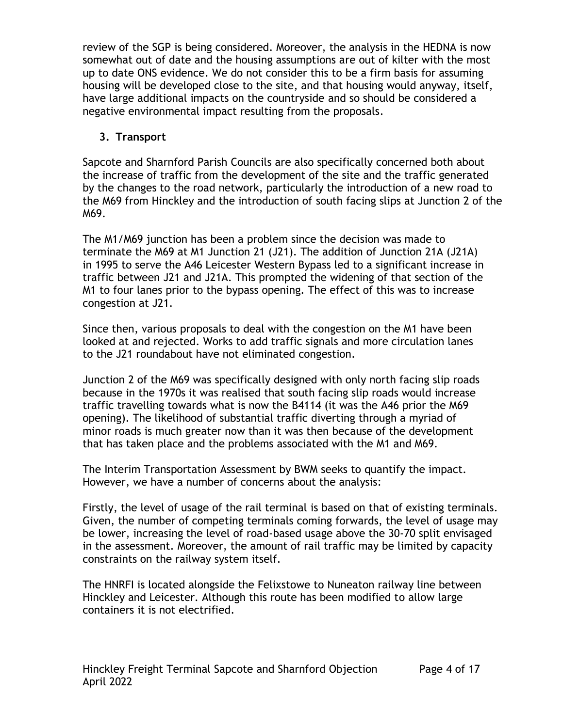review of the SGP is being considered. Moreover, the analysis in the HEDNA is now somewhat out of date and the housing assumptions are out of kilter with the most up to date ONS evidence. We do not consider this to be a firm basis for assuming housing will be developed close to the site, and that housing would anyway, itself, have large additional impacts on the countryside and so should be considered a negative environmental impact resulting from the proposals.

# **3. Transport**

Sapcote and Sharnford Parish Councils are also specifically concerned both about the increase of traffic from the development of the site and the traffic generated by the changes to the road network, particularly the introduction of a new road to the M69 from Hinckley and the introduction of south facing slips at Junction 2 of the M69.

The M1/M69 junction has been a problem since the decision was made to terminate the M69 at M1 Junction 21 (J21). The addition of Junction 21A (J21A) in 1995 to serve the A46 Leicester Western Bypass led to a significant increase in traffic between J21 and J21A. This prompted the widening of that section of the M1 to four lanes prior to the bypass opening. The effect of this was to increase congestion at J21.

Since then, various proposals to deal with the congestion on the M1 have been looked at and rejected. Works to add traffic signals and more circulation lanes to the J21 roundabout have not eliminated congestion.

Junction 2 of the M69 was specifically designed with only north facing slip roads because in the 1970s it was realised that south facing slip roads would increase traffic travelling towards what is now the B4114 (it was the A46 prior the M69 opening). The likelihood of substantial traffic diverting through a myriad of minor roads is much greater now than it was then because of the development that has taken place and the problems associated with the M1 and M69.

The Interim Transportation Assessment by BWM seeks to quantify the impact. However, we have a number of concerns about the analysis:

Firstly, the level of usage of the rail terminal is based on that of existing terminals. Given, the number of competing terminals coming forwards, the level of usage may be lower, increasing the level of road-based usage above the 30-70 split envisaged in the assessment. Moreover, the amount of rail traffic may be limited by capacity constraints on the railway system itself.

The HNRFI is located alongside the Felixstowe to Nuneaton railway line between Hinckley and Leicester. Although this route has been modified to allow large containers it is not electrified.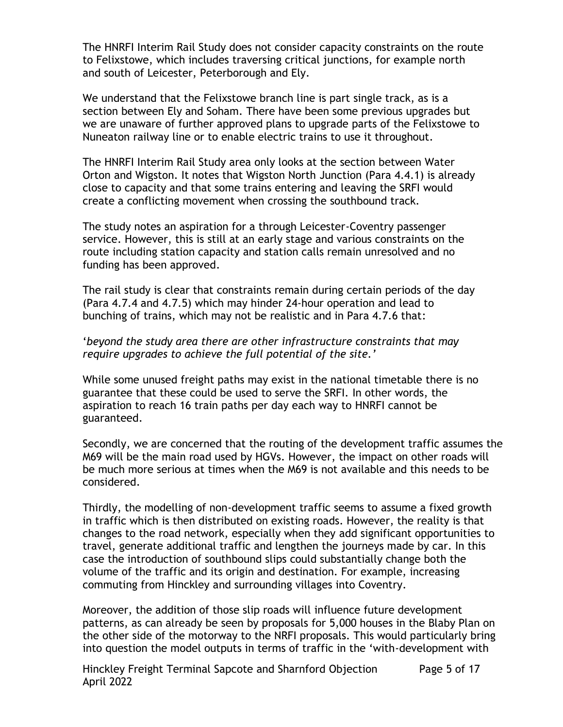The HNRFI Interim Rail Study does not consider capacity constraints on the route to Felixstowe, which includes traversing critical junctions, for example north and south of Leicester, Peterborough and Ely.

We understand that the Felixstowe branch line is part single track, as is a section between Ely and Soham. There have been some previous upgrades but we are unaware of further approved plans to upgrade parts of the Felixstowe to Nuneaton railway line or to enable electric trains to use it throughout.

The HNRFI Interim Rail Study area only looks at the section between Water Orton and Wigston. It notes that Wigston North Junction (Para 4.4.1) is already close to capacity and that some trains entering and leaving the SRFI would create a conflicting movement when crossing the southbound track.

The study notes an aspiration for a through Leicester-Coventry passenger service. However, this is still at an early stage and various constraints on the route including station capacity and station calls remain unresolved and no funding has been approved.

The rail study is clear that constraints remain during certain periods of the day (Para 4.7.4 and 4.7.5) which may hinder 24-hour operation and lead to bunching of trains, which may not be realistic and in Para 4.7.6 that:

#### '*beyond the study area there are other infrastructure constraints that may require upgrades to achieve the full potential of the site.'*

While some unused freight paths may exist in the national timetable there is no guarantee that these could be used to serve the SRFI. In other words, the aspiration to reach 16 train paths per day each way to HNRFI cannot be guaranteed.

Secondly, we are concerned that the routing of the development traffic assumes the M69 will be the main road used by HGVs. However, the impact on other roads will be much more serious at times when the M69 is not available and this needs to be considered.

Thirdly, the modelling of non-development traffic seems to assume a fixed growth in traffic which is then distributed on existing roads. However, the reality is that changes to the road network, especially when they add significant opportunities to travel, generate additional traffic and lengthen the journeys made by car. In this case the introduction of southbound slips could substantially change both the volume of the traffic and its origin and destination. For example, increasing commuting from Hinckley and surrounding villages into Coventry.

Moreover, the addition of those slip roads will influence future development patterns, as can already be seen by proposals for 5,000 houses in the Blaby Plan on the other side of the motorway to the NRFI proposals. This would particularly bring into question the model outputs in terms of traffic in the 'with-development with

Hinckley Freight Terminal Sapcote and Sharnford Objection April 2022 Page 5 of 17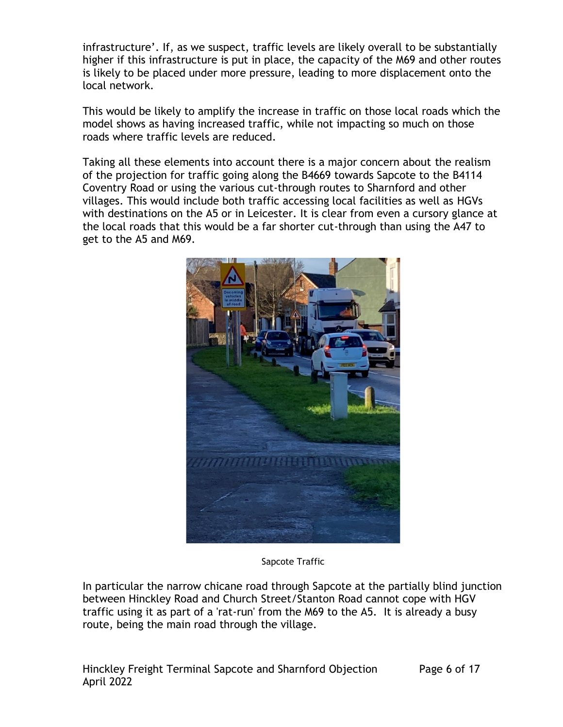infrastructure'. If, as we suspect, traffic levels are likely overall to be substantially higher if this infrastructure is put in place, the capacity of the M69 and other routes is likely to be placed under more pressure, leading to more displacement onto the local network.

This would be likely to amplify the increase in traffic on those local roads which the model shows as having increased traffic, while not impacting so much on those roads where traffic levels are reduced.

Taking all these elements into account there is a major concern about the realism of the projection for traffic going along the B4669 towards Sapcote to the B4114 Coventry Road or using the various cut-through routes to Sharnford and other villages. This would include both traffic accessing local facilities as well as HGVs with destinations on the A5 or in Leicester. It is clear from even a cursory glance at the local roads that this would be a far shorter cut-through than using the A47 to get to the A5 and M69.



Sapcote Traffic

In particular the narrow chicane road through Sapcote at the partially blind junction between Hinckley Road and Church Street/Stanton Road cannot cope with HGV traffic using it as part of a 'rat-run' from the M69 to the A5. It is already a busy route, being the main road through the village.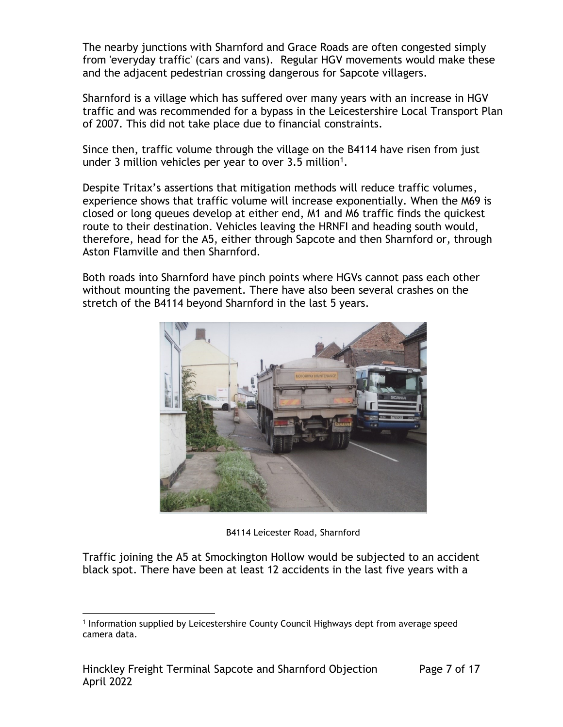The nearby junctions with Sharnford and Grace Roads are often congested simply from 'everyday traffic' (cars and vans). Regular HGV movements would make these and the adjacent pedestrian crossing dangerous for Sapcote villagers.

Sharnford is a village which has suffered over many years with an increase in HGV traffic and was recommended for a bypass in the Leicestershire Local Transport Plan of 2007. This did not take place due to financial constraints.

Since then, traffic volume through the village on the B4114 have risen from just under 3 million vehicles per year to over  $3.5$  million<sup>1</sup>.

Despite Tritax's assertions that mitigation methods will reduce traffic volumes, experience shows that traffic volume will increase exponentially. When the M69 is closed or long queues develop at either end, M1 and M6 traffic finds the quickest route to their destination. Vehicles leaving the HRNFI and heading south would, therefore, head for the A5, either through Sapcote and then Sharnford or, through Aston Flamville and then Sharnford.

Both roads into Sharnford have pinch points where HGVs cannot pass each other without mounting the pavement. There have also been several crashes on the stretch of the B4114 beyond Sharnford in the last 5 years.



B4114 Leicester Road, Sharnford

Traffic joining the A5 at Smockington Hollow would be subjected to an accident black spot. There have been at least 12 accidents in the last five years with a

<sup>1</sup> Information supplied by Leicestershire County Council Highways dept from average speed camera data.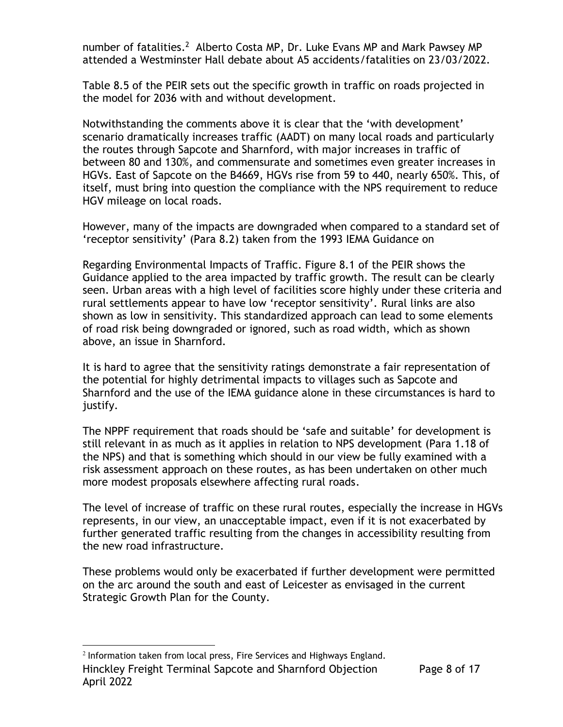number of fatalities.<sup>2</sup> Alberto Costa MP, Dr. Luke Evans MP and Mark Pawsey MP attended a Westminster Hall debate about A5 accidents/fatalities on 23/03/2022.

Table 8.5 of the PEIR sets out the specific growth in traffic on roads projected in the model for 2036 with and without development.

Notwithstanding the comments above it is clear that the 'with development' scenario dramatically increases traffic (AADT) on many local roads and particularly the routes through Sapcote and Sharnford, with major increases in traffic of between 80 and 130%, and commensurate and sometimes even greater increases in HGVs. East of Sapcote on the B4669, HGVs rise from 59 to 440, nearly 650%. This, of itself, must bring into question the compliance with the NPS requirement to reduce HGV mileage on local roads.

However, many of the impacts are downgraded when compared to a standard set of 'receptor sensitivity' (Para 8.2) taken from the 1993 IEMA Guidance on

Regarding Environmental Impacts of Traffic. Figure 8.1 of the PEIR shows the Guidance applied to the area impacted by traffic growth. The result can be clearly seen. Urban areas with a high level of facilities score highly under these criteria and rural settlements appear to have low 'receptor sensitivity'. Rural links are also shown as low in sensitivity. This standardized approach can lead to some elements of road risk being downgraded or ignored, such as road width, which as shown above, an issue in Sharnford.

It is hard to agree that the sensitivity ratings demonstrate a fair representation of the potential for highly detrimental impacts to villages such as Sapcote and Sharnford and the use of the IEMA guidance alone in these circumstances is hard to justify.

The NPPF requirement that roads should be 'safe and suitable' for development is still relevant in as much as it applies in relation to NPS development (Para 1.18 of the NPS) and that is something which should in our view be fully examined with a risk assessment approach on these routes, as has been undertaken on other much more modest proposals elsewhere affecting rural roads.

The level of increase of traffic on these rural routes, especially the increase in HGVs represents, in our view, an unacceptable impact, even if it is not exacerbated by further generated traffic resulting from the changes in accessibility resulting from the new road infrastructure.

These problems would only be exacerbated if further development were permitted on the arc around the south and east of Leicester as envisaged in the current Strategic Growth Plan for the County.

Hinckley Freight Terminal Sapcote and Sharnford Objection April 2022 2 Information taken from local press, Fire Services and Highways England.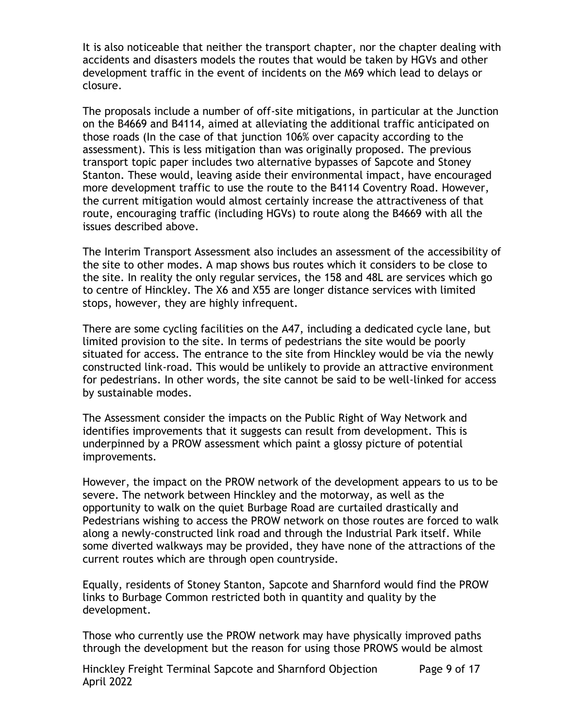It is also noticeable that neither the transport chapter, nor the chapter dealing with accidents and disasters models the routes that would be taken by HGVs and other development traffic in the event of incidents on the M69 which lead to delays or closure.

The proposals include a number of off-site mitigations, in particular at the Junction on the B4669 and B4114, aimed at alleviating the additional traffic anticipated on those roads (In the case of that junction 106% over capacity according to the assessment). This is less mitigation than was originally proposed. The previous transport topic paper includes two alternative bypasses of Sapcote and Stoney Stanton. These would, leaving aside their environmental impact, have encouraged more development traffic to use the route to the B4114 Coventry Road. However, the current mitigation would almost certainly increase the attractiveness of that route, encouraging traffic (including HGVs) to route along the B4669 with all the issues described above.

The Interim Transport Assessment also includes an assessment of the accessibility of the site to other modes. A map shows bus routes which it considers to be close to the site. In reality the only regular services, the 158 and 48L are services which go to centre of Hinckley. The X6 and X55 are longer distance services with limited stops, however, they are highly infrequent.

There are some cycling facilities on the A47, including a dedicated cycle lane, but limited provision to the site. In terms of pedestrians the site would be poorly situated for access. The entrance to the site from Hinckley would be via the newly constructed link-road. This would be unlikely to provide an attractive environment for pedestrians. In other words, the site cannot be said to be well-linked for access by sustainable modes.

The Assessment consider the impacts on the Public Right of Way Network and identifies improvements that it suggests can result from development. This is underpinned by a PROW assessment which paint a glossy picture of potential improvements.

However, the impact on the PROW network of the development appears to us to be severe. The network between Hinckley and the motorway, as well as the opportunity to walk on the quiet Burbage Road are curtailed drastically and Pedestrians wishing to access the PROW network on those routes are forced to walk along a newly-constructed link road and through the Industrial Park itself. While some diverted walkways may be provided, they have none of the attractions of the current routes which are through open countryside.

Equally, residents of Stoney Stanton, Sapcote and Sharnford would find the PROW links to Burbage Common restricted both in quantity and quality by the development.

Those who currently use the PROW network may have physically improved paths through the development but the reason for using those PROWS would be almost

Hinckley Freight Terminal Sapcote and Sharnford Objection April 2022 Page 9 of 17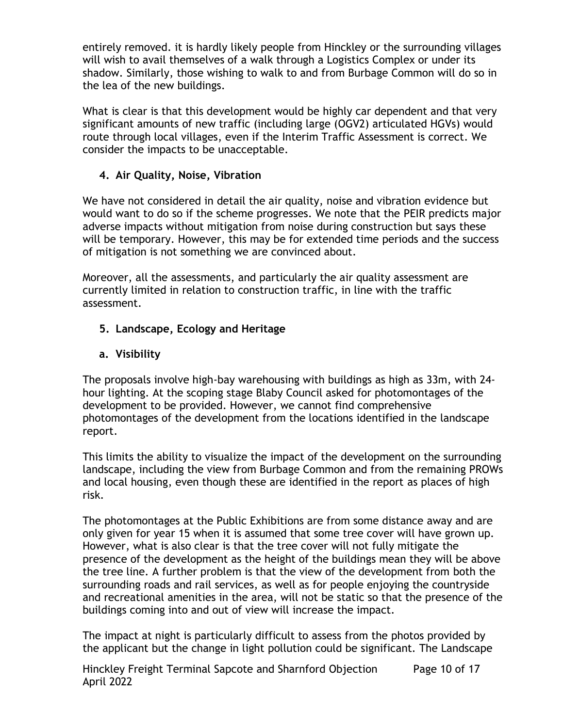entirely removed. it is hardly likely people from Hinckley or the surrounding villages will wish to avail themselves of a walk through a Logistics Complex or under its shadow. Similarly, those wishing to walk to and from Burbage Common will do so in the lea of the new buildings.

What is clear is that this development would be highly car dependent and that very significant amounts of new traffic (including large (OGV2) articulated HGVs) would route through local villages, even if the Interim Traffic Assessment is correct. We consider the impacts to be unacceptable.

# **4. Air Quality, Noise, Vibration**

We have not considered in detail the air quality, noise and vibration evidence but would want to do so if the scheme progresses. We note that the PEIR predicts major adverse impacts without mitigation from noise during construction but says these will be temporary. However, this may be for extended time periods and the success of mitigation is not something we are convinced about.

Moreover, all the assessments, and particularly the air quality assessment are currently limited in relation to construction traffic, in line with the traffic assessment.

# **5. Landscape, Ecology and Heritage**

# **a. Visibility**

The proposals involve high-bay warehousing with buildings as high as 33m, with 24 hour lighting. At the scoping stage Blaby Council asked for photomontages of the development to be provided. However, we cannot find comprehensive photomontages of the development from the locations identified in the landscape report.

This limits the ability to visualize the impact of the development on the surrounding landscape, including the view from Burbage Common and from the remaining PROWs and local housing, even though these are identified in the report as places of high risk.

The photomontages at the Public Exhibitions are from some distance away and are only given for year 15 when it is assumed that some tree cover will have grown up. However, what is also clear is that the tree cover will not fully mitigate the presence of the development as the height of the buildings mean they will be above the tree line. A further problem is that the view of the development from both the surrounding roads and rail services, as well as for people enjoying the countryside and recreational amenities in the area, will not be static so that the presence of the buildings coming into and out of view will increase the impact.

The impact at night is particularly difficult to assess from the photos provided by the applicant but the change in light pollution could be significant. The Landscape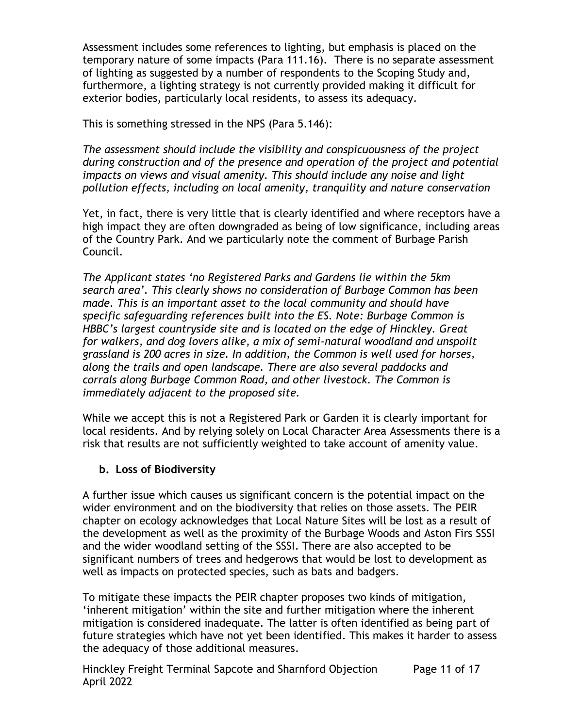Assessment includes some references to lighting, but emphasis is placed on the temporary nature of some impacts (Para 111.16). There is no separate assessment of lighting as suggested by a number of respondents to the Scoping Study and, furthermore, a lighting strategy is not currently provided making it difficult for exterior bodies, particularly local residents, to assess its adequacy.

This is something stressed in the NPS (Para 5.146):

*The assessment should include the visibility and conspicuousness of the project during construction and of the presence and operation of the project and potential impacts on views and visual amenity. This should include any noise and light pollution effects, including on local amenity, tranquility and nature conservation*

Yet, in fact, there is very little that is clearly identified and where receptors have a high impact they are often downgraded as being of low significance, including areas of the Country Park. And we particularly note the comment of Burbage Parish Council.

*The Applicant states 'no Registered Parks and Gardens lie within the 5km search area'. This clearly shows no consideration of Burbage Common has been made. This is an important asset to the local community and should have specific safeguarding references built into the ES. Note: Burbage Common is HBBC's largest countryside site and is located on the edge of Hinckley. Great for walkers, and dog lovers alike, a mix of semi-natural woodland and unspoilt grassland is 200 acres in size. In addition, the Common is well used for horses, along the trails and open landscape. There are also several paddocks and corrals along Burbage Common Road, and other livestock. The Common is immediately adjacent to the proposed site.* 

While we accept this is not a Registered Park or Garden it is clearly important for local residents. And by relying solely on Local Character Area Assessments there is a risk that results are not sufficiently weighted to take account of amenity value.

### **b. Loss of Biodiversity**

A further issue which causes us significant concern is the potential impact on the wider environment and on the biodiversity that relies on those assets. The PEIR chapter on ecology acknowledges that Local Nature Sites will be lost as a result of the development as well as the proximity of the Burbage Woods and Aston Firs SSSI and the wider woodland setting of the SSSI. There are also accepted to be significant numbers of trees and hedgerows that would be lost to development as well as impacts on protected species, such as bats and badgers.

To mitigate these impacts the PEIR chapter proposes two kinds of mitigation, 'inherent mitigation' within the site and further mitigation where the inherent mitigation is considered inadequate. The latter is often identified as being part of future strategies which have not yet been identified. This makes it harder to assess the adequacy of those additional measures.

Hinckley Freight Terminal Sapcote and Sharnford Objection April 2022 Page 11 of 17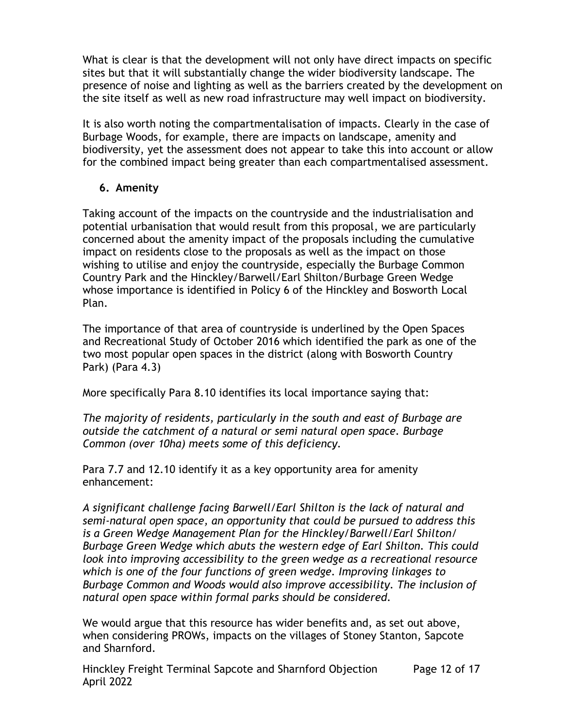What is clear is that the development will not only have direct impacts on specific sites but that it will substantially change the wider biodiversity landscape. The presence of noise and lighting as well as the barriers created by the development on the site itself as well as new road infrastructure may well impact on biodiversity.

It is also worth noting the compartmentalisation of impacts. Clearly in the case of Burbage Woods, for example, there are impacts on landscape, amenity and biodiversity, yet the assessment does not appear to take this into account or allow for the combined impact being greater than each compartmentalised assessment.

### **6. Amenity**

Taking account of the impacts on the countryside and the industrialisation and potential urbanisation that would result from this proposal, we are particularly concerned about the amenity impact of the proposals including the cumulative impact on residents close to the proposals as well as the impact on those wishing to utilise and enjoy the countryside, especially the Burbage Common Country Park and the Hinckley/Barwell/Earl Shilton/Burbage Green Wedge whose importance is identified in Policy 6 of the Hinckley and Bosworth Local Plan.

The importance of that area of countryside is underlined by the Open Spaces and Recreational Study of October 2016 which identified the park as one of the two most popular open spaces in the district (along with Bosworth Country Park) (Para 4.3)

More specifically Para 8.10 identifies its local importance saying that:

*The majority of residents, particularly in the south and east of Burbage are outside the catchment of a natural or semi natural open space. Burbage Common (over 10ha) meets some of this deficiency.*

Para 7.7 and 12.10 identify it as a key opportunity area for amenity enhancement:

*A significant challenge facing Barwell/Earl Shilton is the lack of natural and semi-natural open space, an opportunity that could be pursued to address this is a Green Wedge Management Plan for the Hinckley/Barwell/Earl Shilton/ Burbage Green Wedge which abuts the western edge of Earl Shilton. This could look into improving accessibility to the green wedge as a recreational resource which is one of the four functions of green wedge. Improving linkages to Burbage Common and Woods would also improve accessibility. The inclusion of natural open space within formal parks should be considered.*

We would argue that this resource has wider benefits and, as set out above, when considering PROWs, impacts on the villages of Stoney Stanton, Sapcote and Sharnford.

Hinckley Freight Terminal Sapcote and Sharnford Objection April 2022 Page 12 of 17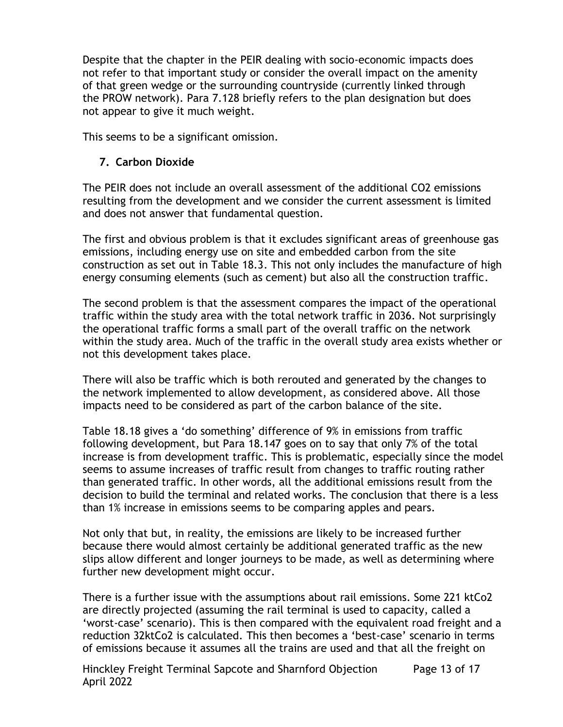Despite that the chapter in the PEIR dealing with socio-economic impacts does not refer to that important study or consider the overall impact on the amenity of that green wedge or the surrounding countryside (currently linked through the PROW network). Para 7.128 briefly refers to the plan designation but does not appear to give it much weight.

This seems to be a significant omission.

## **7. Carbon Dioxide**

The PEIR does not include an overall assessment of the additional CO2 emissions resulting from the development and we consider the current assessment is limited and does not answer that fundamental question.

The first and obvious problem is that it excludes significant areas of greenhouse gas emissions, including energy use on site and embedded carbon from the site construction as set out in Table 18.3. This not only includes the manufacture of high energy consuming elements (such as cement) but also all the construction traffic.

The second problem is that the assessment compares the impact of the operational traffic within the study area with the total network traffic in 2036. Not surprisingly the operational traffic forms a small part of the overall traffic on the network within the study area. Much of the traffic in the overall study area exists whether or not this development takes place.

There will also be traffic which is both rerouted and generated by the changes to the network implemented to allow development, as considered above. All those impacts need to be considered as part of the carbon balance of the site.

Table 18.18 gives a 'do something' difference of 9% in emissions from traffic following development, but Para 18.147 goes on to say that only 7% of the total increase is from development traffic. This is problematic, especially since the model seems to assume increases of traffic result from changes to traffic routing rather than generated traffic. In other words, all the additional emissions result from the decision to build the terminal and related works. The conclusion that there is a less than 1% increase in emissions seems to be comparing apples and pears.

Not only that but, in reality, the emissions are likely to be increased further because there would almost certainly be additional generated traffic as the new slips allow different and longer journeys to be made, as well as determining where further new development might occur.

There is a further issue with the assumptions about rail emissions. Some 221 ktCo2 are directly projected (assuming the rail terminal is used to capacity, called a 'worst-case' scenario). This is then compared with the equivalent road freight and a reduction 32ktCo2 is calculated. This then becomes a 'best-case' scenario in terms of emissions because it assumes all the trains are used and that all the freight on

Hinckley Freight Terminal Sapcote and Sharnford Objection April 2022 Page 13 of 17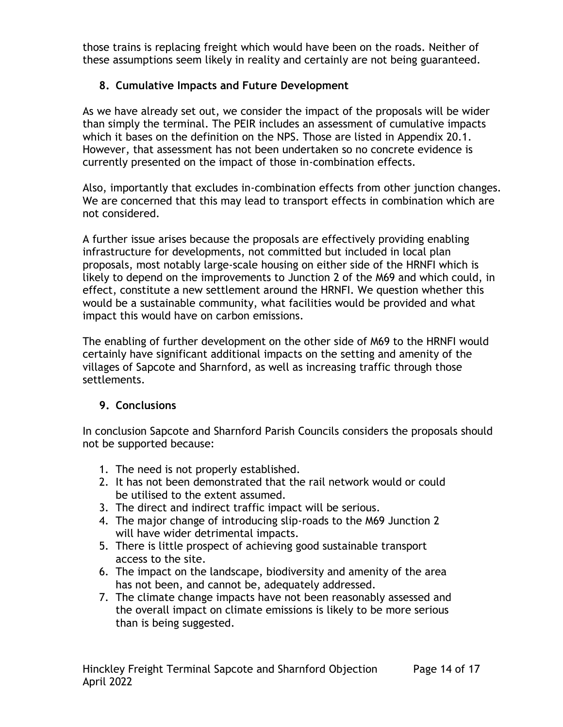those trains is replacing freight which would have been on the roads. Neither of these assumptions seem likely in reality and certainly are not being guaranteed.

# **8. Cumulative Impacts and Future Development**

As we have already set out, we consider the impact of the proposals will be wider than simply the terminal. The PEIR includes an assessment of cumulative impacts which it bases on the definition on the NPS. Those are listed in Appendix 20.1. However, that assessment has not been undertaken so no concrete evidence is currently presented on the impact of those in-combination effects.

Also, importantly that excludes in-combination effects from other junction changes. We are concerned that this may lead to transport effects in combination which are not considered.

A further issue arises because the proposals are effectively providing enabling infrastructure for developments, not committed but included in local plan proposals, most notably large-scale housing on either side of the HRNFI which is likely to depend on the improvements to Junction 2 of the M69 and which could, in effect, constitute a new settlement around the HRNFI. We question whether this would be a sustainable community, what facilities would be provided and what impact this would have on carbon emissions.

The enabling of further development on the other side of M69 to the HRNFI would certainly have significant additional impacts on the setting and amenity of the villages of Sapcote and Sharnford, as well as increasing traffic through those settlements.

# **9. Conclusions**

In conclusion Sapcote and Sharnford Parish Councils considers the proposals should not be supported because:

- 1. The need is not properly established.
- 2. It has not been demonstrated that the rail network would or could be utilised to the extent assumed.
- 3. The direct and indirect traffic impact will be serious.
- 4. The major change of introducing slip-roads to the M69 Junction 2 will have wider detrimental impacts.
- 5. There is little prospect of achieving good sustainable transport access to the site.
- 6. The impact on the landscape, biodiversity and amenity of the area has not been, and cannot be, adequately addressed.
- 7. The climate change impacts have not been reasonably assessed and the overall impact on climate emissions is likely to be more serious than is being suggested.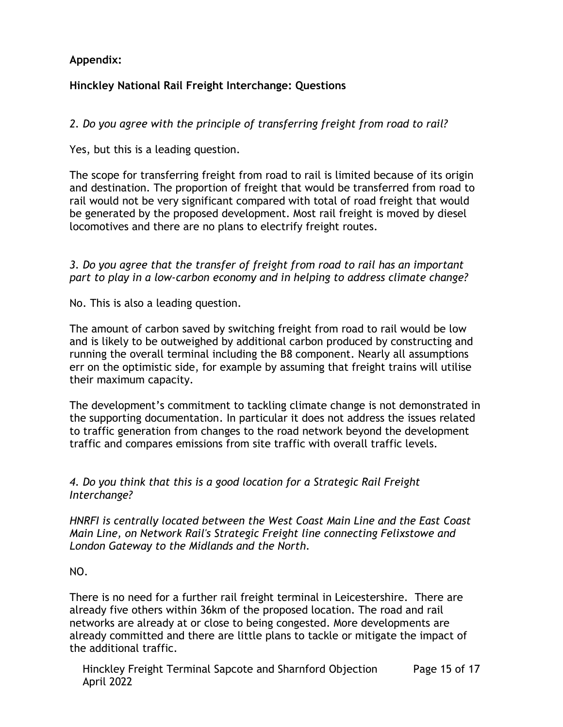# **Appendix:**

# **Hinckley National Rail Freight Interchange: Questions**

*2. Do you agree with the principle of transferring freight from road to rail?*

Yes, but this is a leading question.

The scope for transferring freight from road to rail is limited because of its origin and destination. The proportion of freight that would be transferred from road to rail would not be very significant compared with total of road freight that would be generated by the proposed development. Most rail freight is moved by diesel locomotives and there are no plans to electrify freight routes.

*3. Do you agree that the transfer of freight from road to rail has an important part to play in a low-carbon economy and in helping to address climate change?*

No. This is also a leading question.

The amount of carbon saved by switching freight from road to rail would be low and is likely to be outweighed by additional carbon produced by constructing and running the overall terminal including the B8 component. Nearly all assumptions err on the optimistic side, for example by assuming that freight trains will utilise their maximum capacity.

The development's commitment to tackling climate change is not demonstrated in the supporting documentation. In particular it does not address the issues related to traffic generation from changes to the road network beyond the development traffic and compares emissions from site traffic with overall traffic levels.

### *4. Do you think that this is a good location for a Strategic Rail Freight Interchange?*

*HNRFI is centrally located between the West Coast Main Line and the East Coast Main Line, on Network Rail's Strategic Freight line connecting Felixstowe and London Gateway to the Midlands and the North.*

### NO.

There is no need for a further rail freight terminal in Leicestershire. There are already five others within 36km of the proposed location. The road and rail networks are already at or close to being congested. More developments are already committed and there are little plans to tackle or mitigate the impact of the additional traffic.

Hinckley Freight Terminal Sapcote and Sharnford Objection April 2022 Page 15 of 17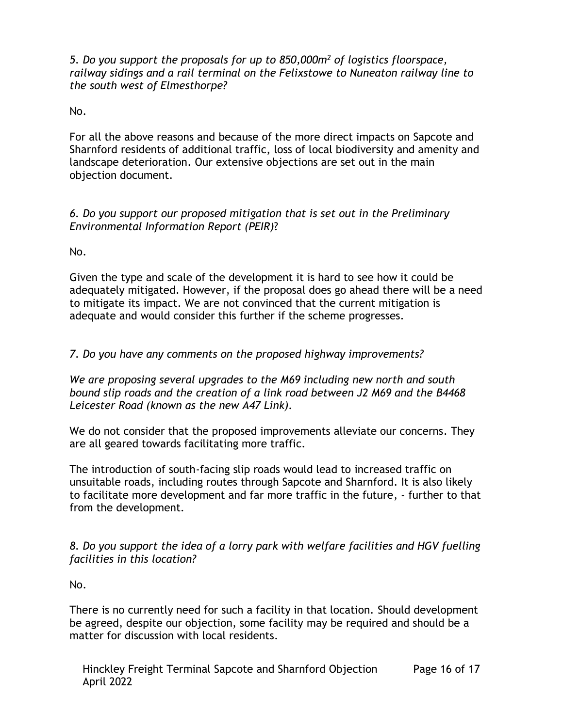*5. Do you support the proposals for up to 850,000m<sup>2</sup> of logistics floorspace, railway sidings and a rail terminal on the Felixstowe to Nuneaton railway line to the south west of Elmesthorpe?*

No.

For all the above reasons and because of the more direct impacts on Sapcote and Sharnford residents of additional traffic, loss of local biodiversity and amenity and landscape deterioration. Our extensive objections are set out in the main objection document.

### *6. Do you support our proposed mitigation that is set out in the [Preliminary](https://www.hinckleynrfi.co.uk/formal-consultation/) [Environmental](https://www.hinckleynrfi.co.uk/formal-consultation/) Information Report (PEIR)*?

No.

Given the type and scale of the development it is hard to see how it could be adequately mitigated. However, if the proposal does go ahead there will be a need to mitigate its impact. We are not convinced that the current mitigation is adequate and would consider this further if the scheme progresses.

# *7. Do you have any comments on the proposed highway improvements?*

*We are proposing several upgrades to the M69 including new north and south bound slip roads and the creation of a link road between J2 M69 and the B4468 Leicester Road (known as the new A47 Link).*

We do not consider that the proposed improvements alleviate our concerns. They are all geared towards facilitating more traffic.

The introduction of south-facing slip roads would lead to increased traffic on unsuitable roads, including routes through Sapcote and Sharnford. It is also likely to facilitate more development and far more traffic in the future, - further to that from the development.

*8. Do you support the idea of a lorry park with welfare facilities and HGV fuelling facilities in this location?*

No.

There is no currently need for such a facility in that location. Should development be agreed, despite our objection, some facility may be required and should be a matter for discussion with local residents.